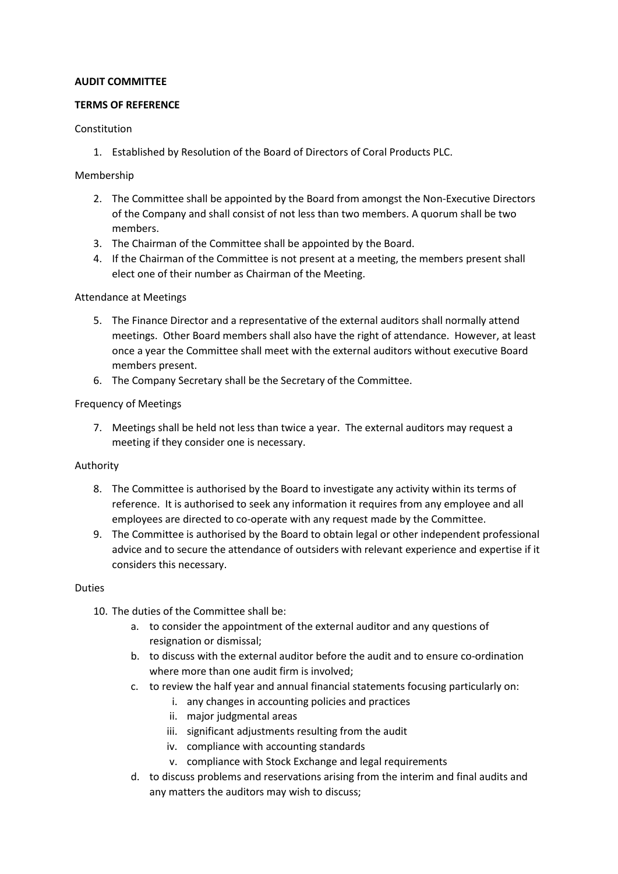## **AUDIT COMMITTEE**

## **TERMS OF REFERENCE**

## Constitution

1. Established by Resolution of the Board of Directors of Coral Products PLC.

## Membership

- 2. The Committee shall be appointed by the Board from amongst the Non-Executive Directors of the Company and shall consist of not less than two members. A quorum shall be two members.
- 3. The Chairman of the Committee shall be appointed by the Board.
- 4. If the Chairman of the Committee is not present at a meeting, the members present shall elect one of their number as Chairman of the Meeting.

### Attendance at Meetings

- 5. The Finance Director and a representative of the external auditors shall normally attend meetings. Other Board members shall also have the right of attendance. However, at least once a year the Committee shall meet with the external auditors without executive Board members present.
- 6. The Company Secretary shall be the Secretary of the Committee.

### Frequency of Meetings

7. Meetings shall be held not less than twice a year. The external auditors may request a meeting if they consider one is necessary.

### Authority

- 8. The Committee is authorised by the Board to investigate any activity within its terms of reference. It is authorised to seek any information it requires from any employee and all employees are directed to co-operate with any request made by the Committee.
- 9. The Committee is authorised by the Board to obtain legal or other independent professional advice and to secure the attendance of outsiders with relevant experience and expertise if it considers this necessary.

### Duties

- 10. The duties of the Committee shall be:
	- a. to consider the appointment of the external auditor and any questions of resignation or dismissal;
	- b. to discuss with the external auditor before the audit and to ensure co-ordination where more than one audit firm is involved:
	- c. to review the half year and annual financial statements focusing particularly on:
		- i. any changes in accounting policies and practices
		- ii. major judgmental areas
		- iii. significant adjustments resulting from the audit
		- iv. compliance with accounting standards
		- v. compliance with Stock Exchange and legal requirements
	- d. to discuss problems and reservations arising from the interim and final audits and any matters the auditors may wish to discuss;